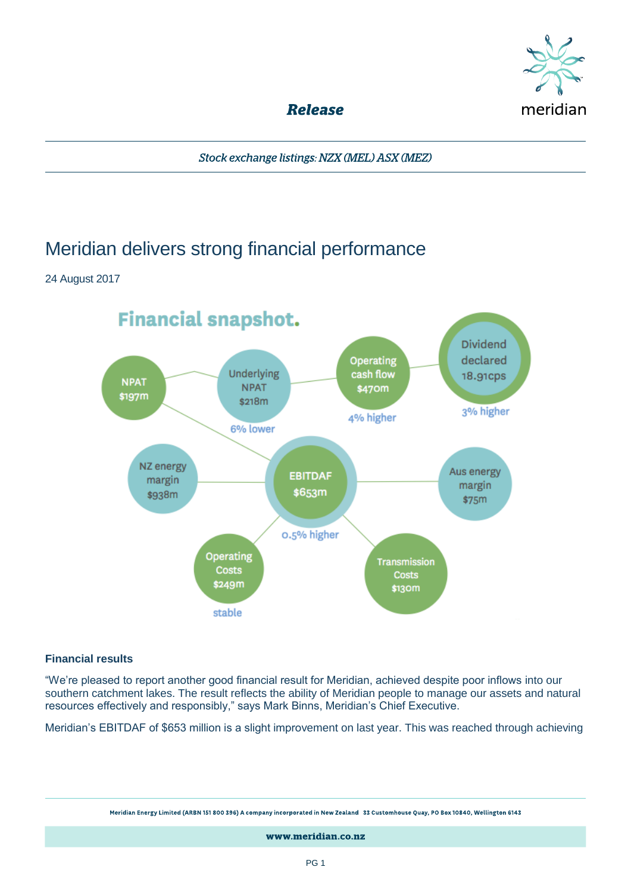

**Release** 

Stock exchange listings: NZX (MEL) ASX (MEZ)

# Meridian delivers strong financial performance

24 August 2017



## **Financial results**

"We're pleased to report another good financial result for Meridian, achieved despite poor inflows into our southern catchment lakes. The result reflects the ability of Meridian people to manage our assets and natural resources effectively and responsibly," says Mark Binns, Meridian's Chief Executive.

Meridian's EBITDAF of \$653 million is a slight improvement on last year. This was reached through achieving

Meridian Energy Limited (ARBN 151 800 396) A company incorporated in New Zealand 33 Customhouse Quay, PO Box 10840, Wellington 6143

www.meridian.co.nz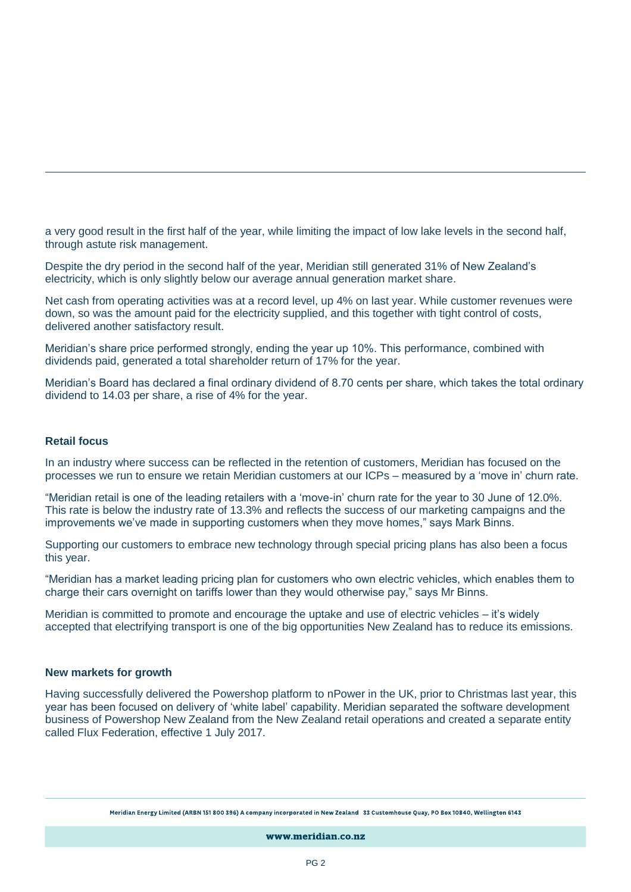a very good result in the first half of the year, while limiting the impact of low lake levels in the second half, through astute risk management.

Despite the dry period in the second half of the year, Meridian still generated 31% of New Zealand's electricity, which is only slightly below our average annual generation market share.

Net cash from operating activities was at a record level, up 4% on last year. While customer revenues were down, so was the amount paid for the electricity supplied, and this together with tight control of costs, delivered another satisfactory result.

Meridian's share price performed strongly, ending the year up 10%. This performance, combined with dividends paid, generated a total shareholder return of 17% for the year.

Meridian's Board has declared a final ordinary dividend of 8.70 cents per share, which takes the total ordinary dividend to 14.03 per share, a rise of 4% for the year.

#### **Retail focus**

In an industry where success can be reflected in the retention of customers, Meridian has focused on the processes we run to ensure we retain Meridian customers at our ICPs – measured by a 'move in' churn rate.

"Meridian retail is one of the leading retailers with a 'move-in' churn rate for the year to 30 June of 12.0%. This rate is below the industry rate of 13.3% and reflects the success of our marketing campaigns and the improvements we've made in supporting customers when they move homes," says Mark Binns.

Supporting our customers to embrace new technology through special pricing plans has also been a focus this year.

"Meridian has a market leading pricing plan for customers who own electric vehicles, which enables them to charge their cars overnight on tariffs lower than they would otherwise pay," says Mr Binns.

Meridian is committed to promote and encourage the uptake and use of electric vehicles – it's widely accepted that electrifying transport is one of the big opportunities New Zealand has to reduce its emissions.

#### **New markets for growth**

Having successfully delivered the Powershop platform to nPower in the UK, prior to Christmas last year, this year has been focused on delivery of 'white label' capability. Meridian separated the software development business of Powershop New Zealand from the New Zealand retail operations and created a separate entity called Flux Federation, effective 1 July 2017.

Meridian Energy Limited (ARBN 151 800 396) A company incorporated in New Zealand 33 Customhouse Quay, PO Box 10840, Wellington 6143

www.meridian.co.nz